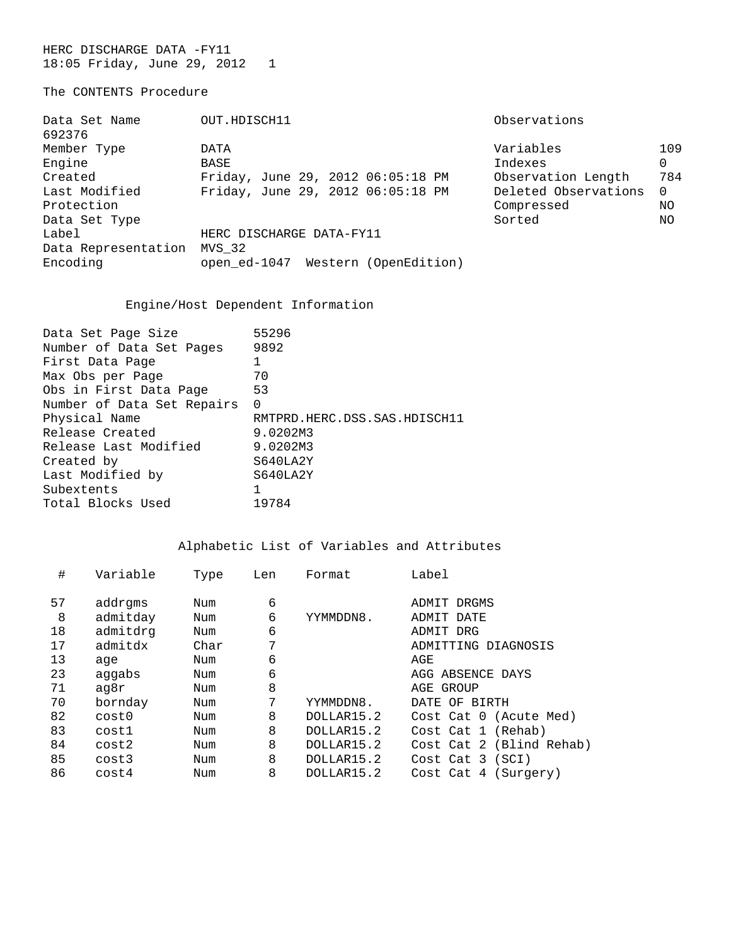HERC DISCHARGE DATA -FY11 18:05 Friday, June 29, 2012 1

## The CONTENTS Procedure

| Data Set Name<br>692376 | OUT.HDISCH11                       | Observations         |          |  |  |  |
|-------------------------|------------------------------------|----------------------|----------|--|--|--|
| Member Type             | <b>DATA</b>                        | Variables            | 109      |  |  |  |
| Engine                  | BASE                               | Indexes              | 0        |  |  |  |
| Created                 | Friday, June 29, 2012 06:05:18 PM  | Observation Length   | 784      |  |  |  |
| Last Modified           | Friday, June 29, 2012 06:05:18 PM  | Deleted Observations | $\Omega$ |  |  |  |
| Protection              |                                    | Compressed           | ΝO       |  |  |  |
| Data Set Type           |                                    | Sorted               | NO       |  |  |  |
| Label                   | HERC DISCHARGE DATA-FY11           |                      |          |  |  |  |
| Data Representation     | MVS 32                             |                      |          |  |  |  |
| Encoding                | open ed-1047 Western (OpenEdition) |                      |          |  |  |  |

## Engine/Host Dependent Information

| 55296                        |
|------------------------------|
| 9892                         |
|                              |
| 70                           |
| 53                           |
| 0                            |
| RMTPRD.HERC.DSS.SAS.HDISCH11 |
| 9.0202M3                     |
| 9.0202M3                     |
| S640LA2Y                     |
| S640LA2Y                     |
|                              |
| 19784                        |
|                              |

| #  | Variable | Type | Len | Format     | Label                    |
|----|----------|------|-----|------------|--------------------------|
|    |          |      |     |            |                          |
| 57 | addrgms  | Num  | 6   |            | ADMIT DRGMS              |
| 8  | admitday | Num  | 6   | YYMMDDN8.  | ADMIT DATE               |
| 18 | admitdrg | Num  | 6   |            | ADMIT DRG                |
| 17 | admitdx  | Char | 7   |            | ADMITTING DIAGNOSIS      |
| 13 | age      | Num  | 6   |            | AGE                      |
| 23 | aggabs   | Num  | 6   |            | AGG ABSENCE DAYS         |
| 71 | aq8r     | Num  | 8   |            | AGE GROUP                |
| 70 | bornday  | Num  | 7   | YYMMDDN8.  | DATE OF BIRTH            |
| 82 | cost0    | Num  | 8   | DOLLAR15.2 | Cost Cat 0 (Acute Med)   |
| 83 | cost1    | Num  | 8   | DOLLAR15.2 | Cost Cat 1 (Rehab)       |
| 84 | cost2    | Num  | 8   | DOLLAR15.2 | Cost Cat 2 (Blind Rehab) |
| 85 | cost3    | Num  | 8   | DOLLAR15.2 | Cost Cat 3 (SCI)         |
| 86 | cost4    | Num  | 8   | DOLLAR15.2 | Cost Cat 4 (Surgery)     |
|    |          |      |     |            |                          |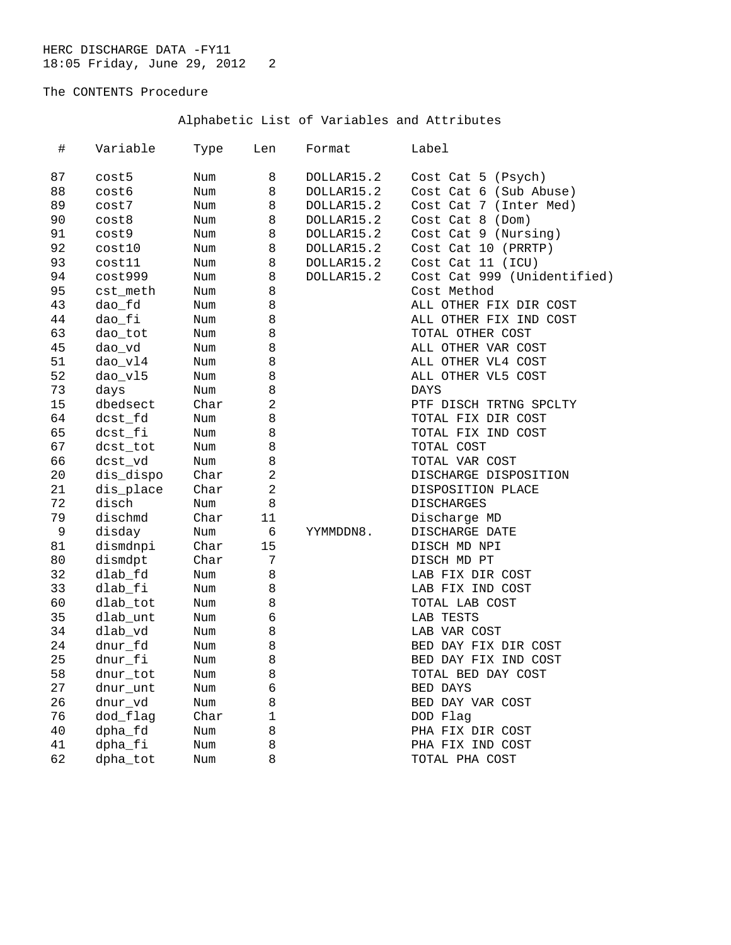# The CONTENTS Procedure

| $\#$        | Variable  | Type | Len            | Format     | Label                       |
|-------------|-----------|------|----------------|------------|-----------------------------|
| 87          | cost5     | Num  | 8              | DOLLAR15.2 | Cost Cat 5 (Psych)          |
| 88          | cost6     | Num  | 8              | DOLLAR15.2 | Cost Cat 6 (Sub Abuse)      |
| 89          | cost7     | Num  | 8              | DOLLAR15.2 | Cost Cat 7 (Inter Med)      |
| 90          | cost8     | Num  | 8              | DOLLAR15.2 | Cost Cat 8 (Dom)            |
| 91          | cost9     | Num  | 8              | DOLLAR15.2 | Cost Cat 9 (Nursing)        |
| 92          | cost10    | Num  | 8              | DOLLAR15.2 | Cost Cat 10 (PRRTP)         |
| 93          | cost11    | Num  | 8              | DOLLAR15.2 | Cost Cat 11 (ICU)           |
| 94          | cost999   | Num  | 8              | DOLLAR15.2 | Cost Cat 999 (Unidentified) |
| 95          | cst_meth  | Num  | 8              |            | Cost Method                 |
| 43          | dao_fd    | Num  | 8              |            | ALL OTHER FIX DIR COST      |
| 44          | dao_fi    | Num  | 8              |            | ALL OTHER FIX IND COST      |
| 63          | dao_tot   | Num  | 8              |            | TOTAL OTHER COST            |
| 45          | dao_vd    | Num  | 8              |            | ALL OTHER VAR COST          |
| 51          | dao_vl4   | Num  | 8              |            | ALL OTHER VL4 COST          |
| 52          | dao_vl5   | Num  | 8              |            | ALL OTHER VL5 COST          |
| 73          | days      | Num  | 8              |            | <b>DAYS</b>                 |
| 15          | dbedsect  | Char | $\overline{a}$ |            | PTF DISCH TRTNG SPCLTY      |
| 64          | dcst_fd   | Num  | 8              |            | TOTAL FIX DIR COST          |
| 65          | dcst_fi   | Num  | 8              |            | TOTAL FIX IND COST          |
| 67          | dcst_tot  | Num  | 8              |            | TOTAL COST                  |
| 66          | dcst_vd   | Num  | 8              |            | TOTAL VAR COST              |
| 20          | dis_dispo | Char | 2              |            | DISCHARGE DISPOSITION       |
| 21          | dis_place | Char | $\overline{2}$ |            | DISPOSITION PLACE           |
| 72          | disch     | Num  | 8              |            | DISCHARGES                  |
| 79          | dischmd   | Char | 11             |            | Discharge MD                |
| $\mathsf 9$ | disday    | Num  | 6              | YYMMDDN8.  | DISCHARGE DATE              |
| 81          | dismdnpi  | Char | 15             |            | DISCH MD NPI                |
| 80          | dismdpt   | Char | 7              |            | DISCH MD PT                 |
| 32          | dlab_fd   | Num  | 8              |            | LAB FIX DIR COST            |
| 33          | dlab fi   | Num  | 8              |            | LAB FIX IND COST            |
| 60          | dlab_tot  | Num  | 8              |            | TOTAL LAB COST              |
| 35          | dlab_unt  | Num  | 6              |            | LAB TESTS                   |
| 34          | dlab_vd   | Num  | 8              |            | LAB VAR COST                |
| 24          | dnur_fd   | Num  | 8              |            | BED DAY FIX DIR COST        |
| 25          | dnur_fi   | Num  | 8              |            | BED DAY FIX IND COST        |
| 58          | dnur_tot  | Num  | 8              |            | TOTAL BED DAY COST          |
| 27          | dnur_unt  | Num  | 6              |            | BED DAYS                    |
| 26          | dnur_vd   | Num  | 8              |            | BED DAY VAR COST            |
| 76          | dod_flag  | Char | $\mathbf 1$    |            | DOD Flag                    |
| 40          | dpha_fd   | Num  | 8              |            | PHA FIX DIR COST            |
| 41          | dpha_fi   | Num  | 8              |            | PHA FIX IND COST            |
| 62          | dpha_tot  | Num  | 8              |            | TOTAL PHA COST              |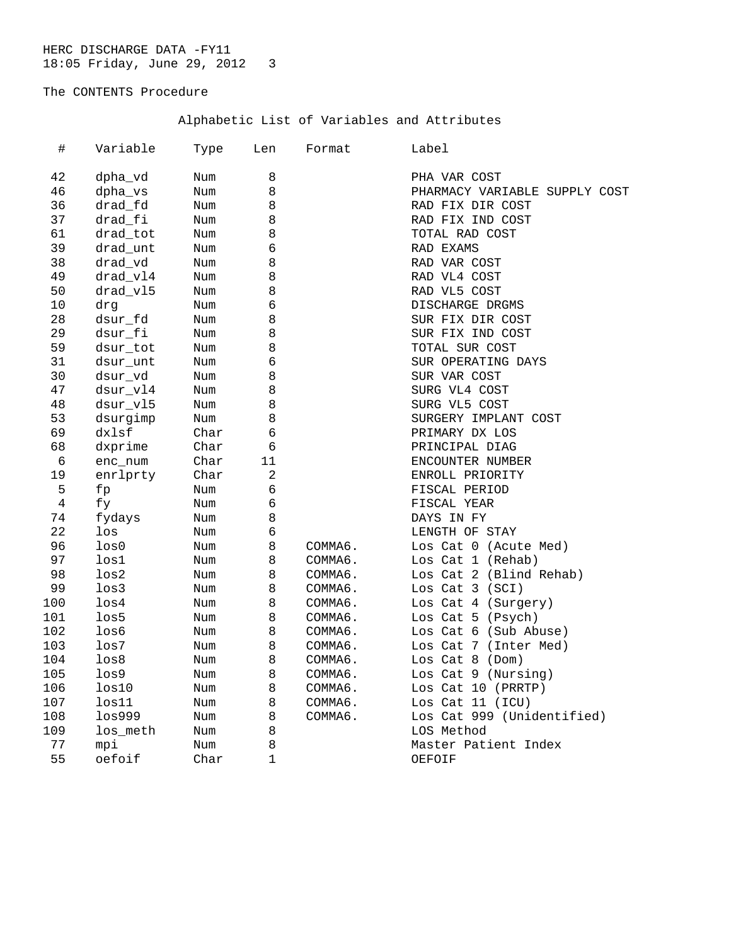# The CONTENTS Procedure

| #   | Variable          | Type | Len            | Format  | Label                         |
|-----|-------------------|------|----------------|---------|-------------------------------|
| 42  | dpha_vd           | Num  | 8              |         | PHA VAR COST                  |
| 46  | dpha_vs           | Num  | 8              |         | PHARMACY VARIABLE SUPPLY COST |
| 36  | drad fd           | Num  | 8              |         | RAD FIX DIR COST              |
| 37  | drad_fi           | Num  | 8              |         | RAD FIX IND COST              |
| 61  | drad_tot          | Num  | 8              |         | TOTAL RAD COST                |
| 39  | drad_unt          | Num  | 6              |         | RAD EXAMS                     |
| 38  | drad_vd           | Num  | 8              |         | RAD VAR COST                  |
| 49  | drad_vl4          | Num  | 8              |         | RAD VL4 COST                  |
| 50  | drad vl5          | Num  | 8              |         | RAD VL5 COST                  |
| 10  | drq               | Num  | 6              |         | DISCHARGE DRGMS               |
| 28  | dsur fd           | Num  | 8              |         | SUR FIX DIR COST              |
| 29  | dsur_fi           | Num  | 8              |         | SUR FIX IND COST              |
| 59  | dsur_tot          | Num  | 8              |         | TOTAL SUR COST                |
| 31  | dsur unt          | Num  | $\epsilon$     |         | SUR OPERATING DAYS            |
| 30  | dsur_vd           | Num  | 8              |         | SUR VAR COST                  |
| 47  | dsur_vl4          | Num  | 8              |         | SURG VL4 COST                 |
| 48  | dsur_v15          | Num  | 8              |         | SURG VL5 COST                 |
| 53  | dsurgimp          | Num  | 8              |         | SURGERY IMPLANT COST          |
| 69  | dxlsf             | Char | $\epsilon$     |         | PRIMARY DX LOS                |
| 68  | dxprime           | Char | 6              |         | PRINCIPAL DIAG                |
| 6   | enc_num           | Char | 11             |         | ENCOUNTER NUMBER              |
| 19  | enrlprty          | Char | $\overline{2}$ |         | ENROLL PRIORITY               |
| 5   | fp                | Num  | 6              |         | FISCAL PERIOD                 |
| 4   | fy                | Num  | $\epsilon$     |         | FISCAL YEAR                   |
| 74  | fydays            | Num  | 8              |         | DAYS IN FY                    |
| 22  | los               | Num  | $\epsilon$     |         | LENGTH OF STAY                |
| 96  | $_{\text{los0}}$  | Num  | 8              | COMMA6. | Los Cat 0 (Acute Med)         |
| 97  | los1              | Num  | 8              | COMMA6. | Los Cat 1 (Rehab)             |
| 98  | $_{\text{los2}}$  | Num  | 8              | COMMA6. | Los Cat 2 (Blind Rehab)       |
| 99  | loss3             | Num  | 8              | COMMA6. | Los Cat 3 (SCI)               |
| 100 | loss4             | Num  | 8              | COMMA6. | Los Cat 4 (Surgery)           |
| 101 | los5              | Num  | 8              | COMMA6. | Los Cat 5 (Psych)             |
| 102 | los6              | Num  | 8              | COMMA6. | Los Cat 6 (Sub Abuse)         |
| 103 | $_{\text{los}}$   | Num  | 8              | COMMA6. | Los Cat 7 (Inter Med)         |
| 104 | loss8             | Num  | 8              | COMMA6. | Los Cat $8$ (Dom)             |
| 105 | $_{\text{los9}}$  | Num  | 8              | COMMA6. | Los Cat 9 (Nursing)           |
| 106 | $_{\text{los}10}$ | Num  | 8              | COMMA6. | Los Cat 10 (PRRTP)            |
| 107 | $_{\text{los}11}$ | Num  | 8              | COMMA6. | Los Cat $11$ (ICU)            |
| 108 | loss999           | Num  | 8              | COMMA6. | Los Cat 999 (Unidentified)    |
| 109 | los_meth          | Num  | 8              |         | LOS Method                    |
| 77  | mpi               | Num  | 8              |         | Master Patient Index          |
| 55  | oefoif            | Char | $\mathbf{1}$   |         | OEFOIF                        |